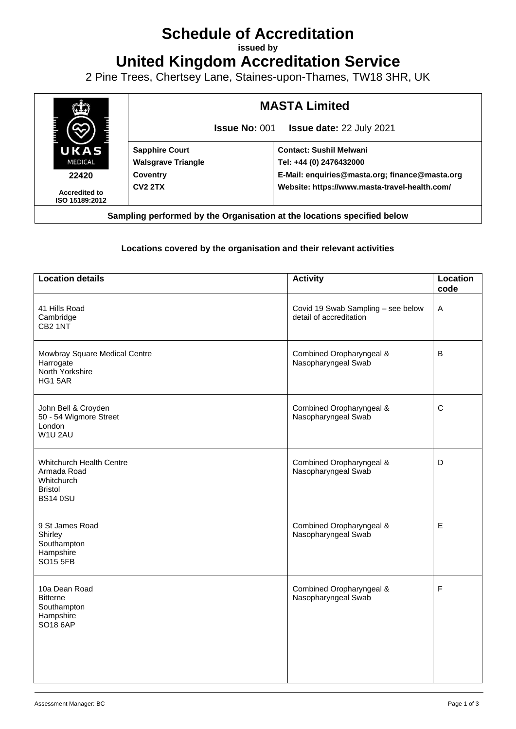# **Schedule of Accreditation**

**issued by**

**United Kingdom Accreditation Service**

2 Pine Trees, Chertsey Lane, Staines-upon-Thames, TW18 3HR, UK



## **Locations covered by the organisation and their relevant activities**

| <b>Location details</b>                                                                           | <b>Activity</b>                                               | Location<br>code |
|---------------------------------------------------------------------------------------------------|---------------------------------------------------------------|------------------|
| 41 Hills Road<br>Cambridge<br>CB <sub>2</sub> 1NT                                                 | Covid 19 Swab Sampling - see below<br>detail of accreditation | $\mathsf A$      |
| Mowbray Square Medical Centre<br>Harrogate<br>North Yorkshire<br>HG1 5AR                          | Combined Oropharyngeal &<br>Nasopharyngeal Swab               | $\sf B$          |
| John Bell & Croyden<br>50 - 54 Wigmore Street<br>London<br>W1U 2AU                                | Combined Oropharyngeal &<br>Nasopharyngeal Swab               | $\mathsf C$      |
| <b>Whitchurch Health Centre</b><br>Armada Road<br>Whitchurch<br><b>Bristol</b><br><b>BS14 0SU</b> | Combined Oropharyngeal &<br>Nasopharyngeal Swab               | D                |
| 9 St James Road<br>Shirley<br>Southampton<br>Hampshire<br><b>SO15 5FB</b>                         | Combined Oropharyngeal &<br>Nasopharyngeal Swab               | E                |
| 10a Dean Road<br><b>Bitterne</b><br>Southampton<br>Hampshire<br>SO18 6AP                          | Combined Oropharyngeal &<br>Nasopharyngeal Swab               | F                |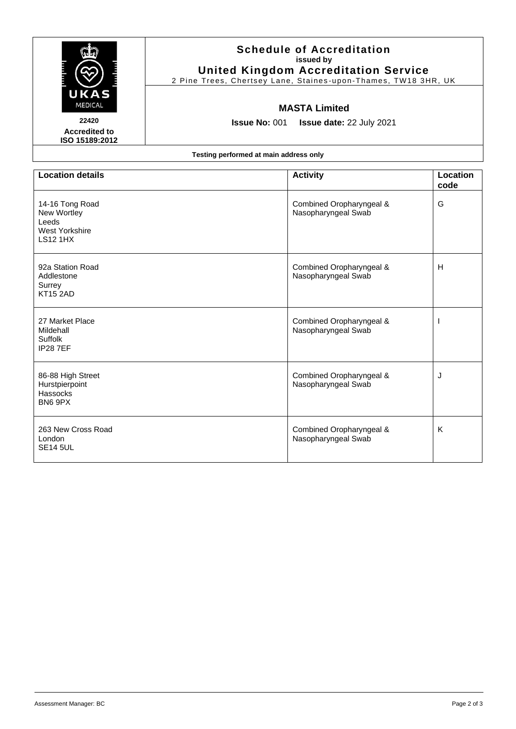|                                                                                     | <b>Schedule of Accreditation</b><br>issued by<br><b>United Kingdom Accreditation Service</b><br>2 Pine Trees, Chertsey Lane, Staines-upon-Thames, TW18 3HR, UK |                                                 |                  |  |  |  |
|-------------------------------------------------------------------------------------|----------------------------------------------------------------------------------------------------------------------------------------------------------------|-------------------------------------------------|------------------|--|--|--|
| UKA<br><b>MEDICAL</b><br>22420<br><b>Accredited to</b><br>ISO 15189:2012            | <b>MASTA Limited</b><br><b>Issue No: 001</b><br><b>Issue date: 22 July 2021</b>                                                                                |                                                 |                  |  |  |  |
| Testing performed at main address only                                              |                                                                                                                                                                |                                                 |                  |  |  |  |
| <b>Location details</b>                                                             |                                                                                                                                                                | <b>Activity</b>                                 | Location<br>code |  |  |  |
| 14-16 Tong Road<br>New Wortley<br>Leeds<br><b>West Yorkshire</b><br><b>LS12 1HX</b> |                                                                                                                                                                | Combined Oropharyngeal &<br>Nasopharyngeal Swab | G                |  |  |  |
| 92a Station Road<br>Addlestone<br>Surrey<br><b>KT15 2AD</b>                         |                                                                                                                                                                | Combined Oropharyngeal &<br>Nasopharyngeal Swab | н                |  |  |  |
| 27 Market Place<br>Mildehall<br>Suffolk<br><b>IP287EF</b>                           |                                                                                                                                                                | Combined Oropharyngeal &<br>Nasopharyngeal Swab |                  |  |  |  |
| 86-88 High Street<br>Hurstpierpoint<br>Hassocks<br>BN6 9PX                          |                                                                                                                                                                | Combined Oropharyngeal &<br>Nasopharyngeal Swab | J                |  |  |  |
| 263 New Cross Road<br>London<br><b>SE14 5UL</b>                                     |                                                                                                                                                                | Combined Oropharyngeal &<br>Nasopharyngeal Swab | K                |  |  |  |